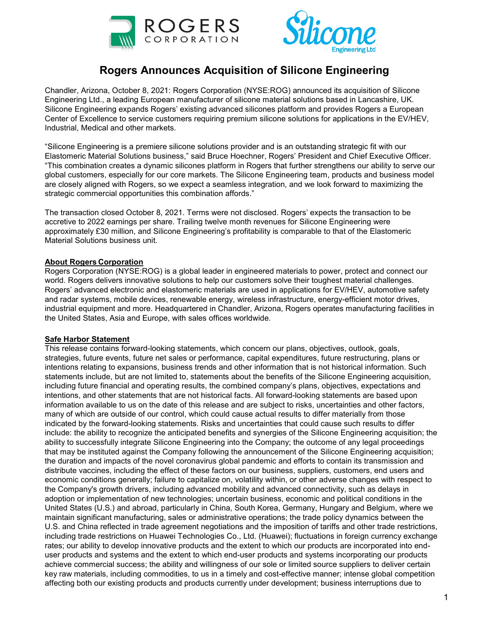



## **Rogers Announces Acquisition of Silicone Engineering**

Chandler, Arizona, October 8, 2021: Rogers Corporation (NYSE:ROG) announced its acquisition of Silicone Engineering Ltd., a leading European manufacturer of silicone material solutions based in Lancashire, UK. Silicone Engineering expands Rogers' existing advanced silicones platform and provides Rogers a European Center of Excellence to service customers requiring premium silicone solutions for applications in the EV/HEV, Industrial, Medical and other markets.

"Silicone Engineering is a premiere silicone solutions provider and is an outstanding strategic fit with our Elastomeric Material Solutions business," said Bruce Hoechner, Rogers' President and Chief Executive Officer. "This combination creates a dynamic silicones platform in Rogers that further strengthens our ability to serve our global customers, especially for our core markets. The Silicone Engineering team, products and business model are closely aligned with Rogers, so we expect a seamless integration, and we look forward to maximizing the strategic commercial opportunities this combination affords."

The transaction closed October 8, 2021. Terms were not disclosed. Rogers' expects the transaction to be accretive to 2022 earnings per share. Trailing twelve month revenues for Silicone Engineering were approximately £30 million, and Silicone Engineering's profitability is comparable to that of the Elastomeric Material Solutions business unit.

## **About Rogers Corporation**

Rogers Corporation (NYSE:ROG) is a global leader in engineered materials to power, protect and connect our world. Rogers delivers innovative solutions to help our customers solve their toughest material challenges. Rogers' advanced electronic and elastomeric materials are used in applications for EV/HEV, automotive safety and radar systems, mobile devices, renewable energy, wireless infrastructure, energy-efficient motor drives, industrial equipment and more. Headquartered in Chandler, Arizona, Rogers operates manufacturing facilities in the United States, Asia and Europe, with sales offices worldwide.

## **Safe Harbor Statement**

This release contains forward-looking statements, which concern our plans, objectives, outlook, goals, strategies, future events, future net sales or performance, capital expenditures, future restructuring, plans or intentions relating to expansions, business trends and other information that is not historical information. Such statements include, but are not limited to, statements about the benefits of the Silicone Engineering acquisition, including future financial and operating results, the combined company's plans, objectives, expectations and intentions, and other statements that are not historical facts. All forward-looking statements are based upon information available to us on the date of this release and are subject to risks, uncertainties and other factors, many of which are outside of our control, which could cause actual results to differ materially from those indicated by the forward-looking statements. Risks and uncertainties that could cause such results to differ include: the ability to recognize the anticipated benefits and synergies of the Silicone Engineering acquisition; the ability to successfully integrate Silicone Engineering into the Company; the outcome of any legal proceedings that may be instituted against the Company following the announcement of the Silicone Engineering acquisition; the duration and impacts of the novel coronavirus global pandemic and efforts to contain its transmission and distribute vaccines, including the effect of these factors on our business, suppliers, customers, end users and economic conditions generally; failure to capitalize on, volatility within, or other adverse changes with respect to the Company's growth drivers, including advanced mobility and advanced connectivity, such as delays in adoption or implementation of new technologies; uncertain business, economic and political conditions in the United States (U.S.) and abroad, particularly in China, South Korea, Germany, Hungary and Belgium, where we maintain significant manufacturing, sales or administrative operations; the trade policy dynamics between the U.S. and China reflected in trade agreement negotiations and the imposition of tariffs and other trade restrictions, including trade restrictions on Huawei Technologies Co., Ltd. (Huawei); fluctuations in foreign currency exchange rates; our ability to develop innovative products and the extent to which our products are incorporated into enduser products and systems and the extent to which end-user products and systems incorporating our products achieve commercial success; the ability and willingness of our sole or limited source suppliers to deliver certain key raw materials, including commodities, to us in a timely and cost-effective manner; intense global competition affecting both our existing products and products currently under development; business interruptions due to